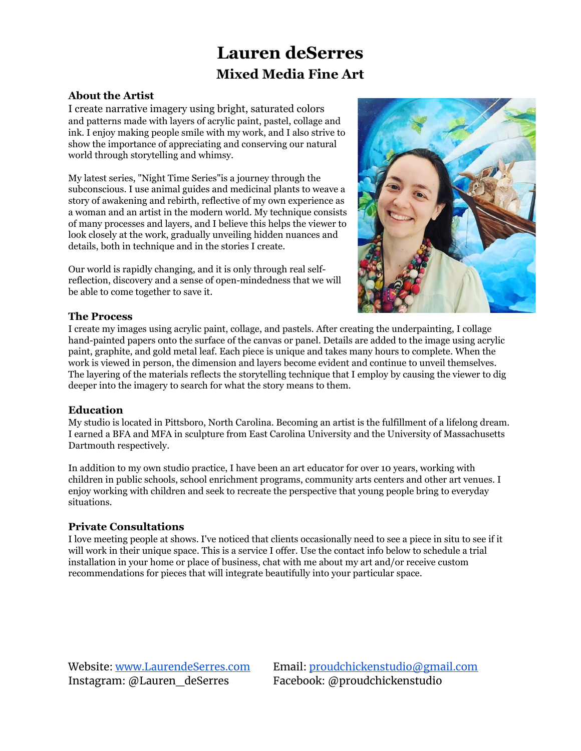#### **About the Artist**

I create narrative imagery using bright, saturated colors and patterns made with layers of acrylic paint, pastel, collage and ink. I enjoy making people smile with my work, and I also strive to show the importance of appreciating and conserving our natural world through storytelling and whimsy.

My latest series, "Night Time Series"is a journey through the subconscious. I use animal guides and medicinal plants to weave a story of awakening and rebirth, reflective of my own experience as a woman and an artist in the modern world. My technique consists of many processes and layers, and I believe this helps the viewer to look closely at the work, gradually unveiling hidden nuances and details, both in technique and in the stories I create.

Our world is rapidly changing, and it is only through real selfreflection, discovery and a sense of open-mindedness that we will be able to come together to save it.



#### **The Process**

I create my images using acrylic paint, collage, and pastels. After creating the underpainting, I collage hand-painted papers onto the surface of the canvas or panel. Details are added to the image using acrylic paint, graphite, and gold metal leaf. Each piece is unique and takes many hours to complete. When the work is viewed in person, the dimension and layers become evident and continue to unveil themselves. The layering of the materials reflects the storytelling technique that I employ by causing the viewer to dig deeper into the imagery to search for what the story means to them.

#### **Education**

My studio is located in Pittsboro, North Carolina. Becoming an artist is the fulfillment of a lifelong dream. I earned a BFA and MFA in sculpture from East Carolina University and the University of Massachusetts Dartmouth respectively.

In addition to my own studio practice, I have been an art educator for over 10 years, working with children in public schools, school enrichment programs, community arts centers and other art venues. I enjoy working with children and seek to recreate the perspective that young people bring to everyday situations.

#### **Private Consultations**

I love meeting people at shows. I've noticed that clients occasionally need to see a piece in situ to see if it will work in their unique space. This is a service I offer. Use the contact info below to schedule a trial installation in your home or place of business, chat with me about my art and/or receive custom recommendations for pieces that will integrate beautifully into your particular space.

Instagram: @Lauren\_deSerres Facebook: @proudchickenstudio

Website: [www.LaurendeSerres.com](http://www.laurendeserres.com/) Email: [proudchickenstudio@gmail.com](mailto:proudchickenstudio@gmail.com)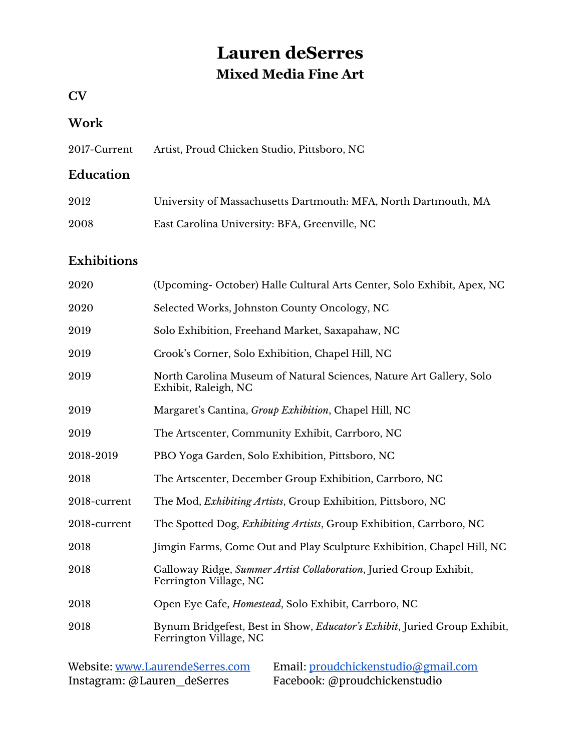## **CV**

### **Work**

2017-Current Artist, Proud Chicken Studio, Pittsboro, NC

### **Education**

| 2012 | University of Massachusetts Dartmouth: MFA, North Dartmouth, MA |
|------|-----------------------------------------------------------------|
| 2008 | East Carolina University: BFA, Greenville, NC                   |

## **Exhibitions**

| 2020         | (Upcoming- October) Halle Cultural Arts Center, Solo Exhibit, Apex, NC                              |
|--------------|-----------------------------------------------------------------------------------------------------|
| 2020         | Selected Works, Johnston County Oncology, NC                                                        |
| 2019         | Solo Exhibition, Freehand Market, Saxapahaw, NC                                                     |
| 2019         | Crook's Corner, Solo Exhibition, Chapel Hill, NC                                                    |
| 2019         | North Carolina Museum of Natural Sciences, Nature Art Gallery, Solo<br>Exhibit, Raleigh, NC         |
| 2019         | Margaret's Cantina, Group Exhibition, Chapel Hill, NC                                               |
| 2019         | The Artscenter, Community Exhibit, Carrboro, NC                                                     |
| 2018-2019    | PBO Yoga Garden, Solo Exhibition, Pittsboro, NC                                                     |
| 2018         | The Artscenter, December Group Exhibition, Carrboro, NC                                             |
| 2018-current | The Mod, <i>Exhibiting Artists</i> , Group Exhibition, Pittsboro, NC                                |
| 2018-current | The Spotted Dog, <i>Exhibiting Artists</i> , Group Exhibition, Carrboro, NC                         |
| 2018         | Jimgin Farms, Come Out and Play Sculpture Exhibition, Chapel Hill, NC                               |
| 2018         | Galloway Ridge, Summer Artist Collaboration, Juried Group Exhibit,<br>Ferrington Village, NC        |
| 2018         | Open Eye Cafe, <i>Homestead</i> , Solo Exhibit, Carrboro, NC                                        |
| 2018         | Bynum Bridgefest, Best in Show, Educator's Exhibit, Juried Group Exhibit,<br>Ferrington Village, NC |

| Website: www.LaurendeSerres.com | Email: proudchickenstudio@gmail.com |
|---------------------------------|-------------------------------------|
| Instagram: @Lauren_deSerres     | Facebook: @proudchickenstudio       |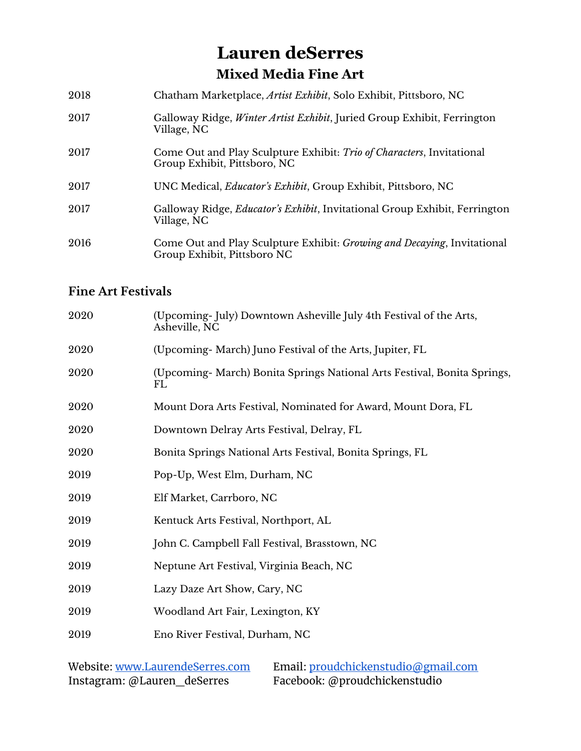| 2018 | Chatham Marketplace, Artist Exhibit, Solo Exhibit, Pittsboro, NC                                               |
|------|----------------------------------------------------------------------------------------------------------------|
| 2017 | Galloway Ridge, <i>Winter Artist Exhibit</i> , Juried Group Exhibit, Ferrington<br>Village, NC                 |
| 2017 | Come Out and Play Sculpture Exhibit: Trio of Characters, Invitational<br>Group Exhibit, Pittsboro, NC          |
| 2017 | UNC Medical, <i>Educator's Exhibit</i> , Group Exhibit, Pittsboro, NC                                          |
| 2017 | Galloway Ridge, <i>Educator's Exhibit</i> , Invitational Group Exhibit, Ferrington<br>Village, NC              |
| 2016 | Come Out and Play Sculpture Exhibit: <i>Growing and Decaying</i> , Invitational<br>Group Exhibit, Pittsboro NC |

## **Fine Art Festivals**

| 2020 | (Upcoming-July) Downtown Asheville July 4th Festival of the Arts,<br>Asheville, NC |
|------|------------------------------------------------------------------------------------|
| 2020 | (Upcoming- March) Juno Festival of the Arts, Jupiter, FL                           |
| 2020 | (Upcoming- March) Bonita Springs National Arts Festival, Bonita Springs,<br>FL     |
| 2020 | Mount Dora Arts Festival, Nominated for Award, Mount Dora, FL                      |
| 2020 | Downtown Delray Arts Festival, Delray, FL                                          |
| 2020 | Bonita Springs National Arts Festival, Bonita Springs, FL                          |
| 2019 | Pop-Up, West Elm, Durham, NC                                                       |
| 2019 | Elf Market, Carrboro, NC                                                           |
| 2019 | Kentuck Arts Festival, Northport, AL                                               |
| 2019 | John C. Campbell Fall Festival, Brasstown, NC                                      |
| 2019 | Neptune Art Festival, Virginia Beach, NC                                           |
| 2019 | Lazy Daze Art Show, Cary, NC                                                       |
| 2019 | Woodland Art Fair, Lexington, KY                                                   |
| 2019 | Eno River Festival, Durham, NC                                                     |
|      |                                                                                    |

| Website: www.LaurendeSerres.com | Email: proudchickenstudio@gmail.com |
|---------------------------------|-------------------------------------|
| Instagram: @Lauren_deSerres     | Facebook: @proudchickenstudio       |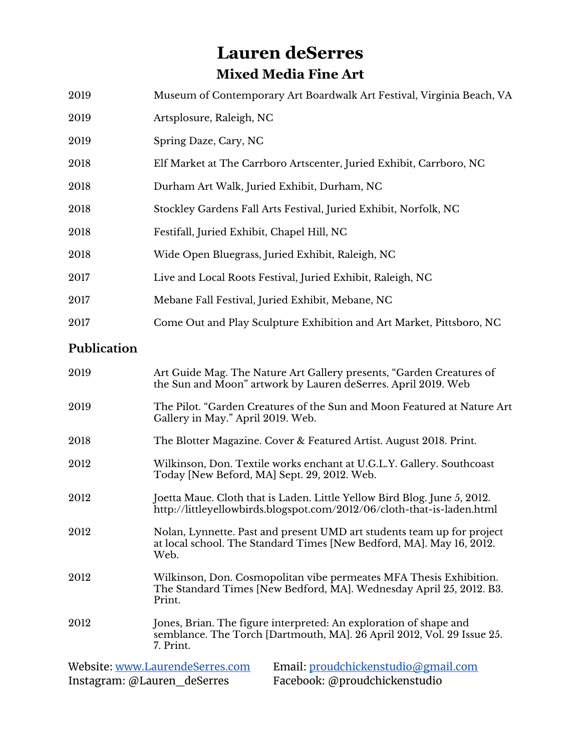| 2019                                                                   | Museum of Contemporary Art Boardwalk Art Festival, Virginia Beach, VA                                                                                    |  |
|------------------------------------------------------------------------|----------------------------------------------------------------------------------------------------------------------------------------------------------|--|
| 2019                                                                   | Artsplosure, Raleigh, NC                                                                                                                                 |  |
| 2019                                                                   | Spring Daze, Cary, NC                                                                                                                                    |  |
| 2018                                                                   | Elf Market at The Carrboro Artscenter, Juried Exhibit, Carrboro, NC                                                                                      |  |
| 2018                                                                   | Durham Art Walk, Juried Exhibit, Durham, NC                                                                                                              |  |
| 2018                                                                   | Stockley Gardens Fall Arts Festival, Juried Exhibit, Norfolk, NC                                                                                         |  |
| 2018                                                                   | Festifall, Juried Exhibit, Chapel Hill, NC                                                                                                               |  |
| 2018                                                                   | Wide Open Bluegrass, Juried Exhibit, Raleigh, NC                                                                                                         |  |
| 2017                                                                   | Live and Local Roots Festival, Juried Exhibit, Raleigh, NC                                                                                               |  |
| 2017                                                                   | Mebane Fall Festival, Juried Exhibit, Mebane, NC                                                                                                         |  |
| 2017                                                                   | Come Out and Play Sculpture Exhibition and Art Market, Pittsboro, NC                                                                                     |  |
| Publication                                                            |                                                                                                                                                          |  |
| 2019                                                                   | Art Guide Mag. The Nature Art Gallery presents, "Garden Creatures of<br>the Sun and Moon" artwork by Lauren deSerres. April 2019. Web                    |  |
| 2019                                                                   | The Pilot. "Garden Creatures of the Sun and Moon Featured at Nature Art<br>Gallery in May." April 2019. Web.                                             |  |
| 2018                                                                   | The Blotter Magazine. Cover & Featured Artist. August 2018. Print.                                                                                       |  |
| 2012                                                                   | Wilkinson, Don. Textile works enchant at U.G.L.Y. Gallery. Southcoast<br>Today [New Beford, MA] Sept. 29, 2012. Web.                                     |  |
| 2012                                                                   | Joetta Maue. Cloth that is Laden. Little Yellow Bird Blog. June 5, 2012.<br>http://littleyellowbirds.blogspot.com/2012/06/cloth-that-is-laden.html       |  |
| 2012                                                                   | Nolan, Lynnette. Past and present UMD art students team up for project<br>at local school. The Standard Times [New Bedford, MA]. May 16, 2012.<br>Web.   |  |
| 2012                                                                   | Wilkinson, Don. Cosmopolitan vibe permeates MFA Thesis Exhibition.<br>The Standard Times [New Bedford, MA]. Wednesday April 25, 2012. B3.<br>Print.      |  |
| 2012                                                                   | Jones, Brian. The figure interpreted: An exploration of shape and<br>semblance. The Torch [Dartmouth, MA]. 26 April 2012, Vol. 29 Issue 25.<br>7. Print. |  |
| Website: www.LaurendeSerres.com<br>Email: proudchickenstudio@gmail.com |                                                                                                                                                          |  |

Instagram: @Lauren\_deSerres Facebook: @proudchickenstudio